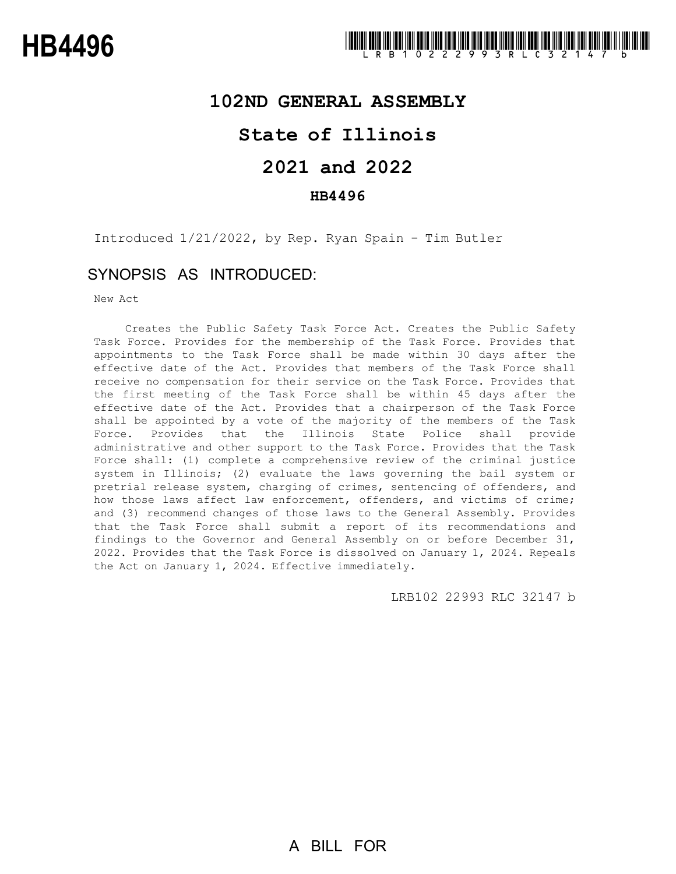### **102ND GENERAL ASSEMBLY**

# **State of Illinois**

# **2021 and 2022**

### **HB4496**

Introduced 1/21/2022, by Rep. Ryan Spain - Tim Butler

## SYNOPSIS AS INTRODUCED:

New Act

Creates the Public Safety Task Force Act. Creates the Public Safety Task Force. Provides for the membership of the Task Force. Provides that appointments to the Task Force shall be made within 30 days after the effective date of the Act. Provides that members of the Task Force shall receive no compensation for their service on the Task Force. Provides that the first meeting of the Task Force shall be within 45 days after the effective date of the Act. Provides that a chairperson of the Task Force shall be appointed by a vote of the majority of the members of the Task Force. Provides that the Illinois State Police shall provide administrative and other support to the Task Force. Provides that the Task Force shall: (1) complete a comprehensive review of the criminal justice system in Illinois; (2) evaluate the laws governing the bail system or pretrial release system, charging of crimes, sentencing of offenders, and how those laws affect law enforcement, offenders, and victims of crime; and (3) recommend changes of those laws to the General Assembly. Provides that the Task Force shall submit a report of its recommendations and findings to the Governor and General Assembly on or before December 31, 2022. Provides that the Task Force is dissolved on January 1, 2024. Repeals the Act on January 1, 2024. Effective immediately.

LRB102 22993 RLC 32147 b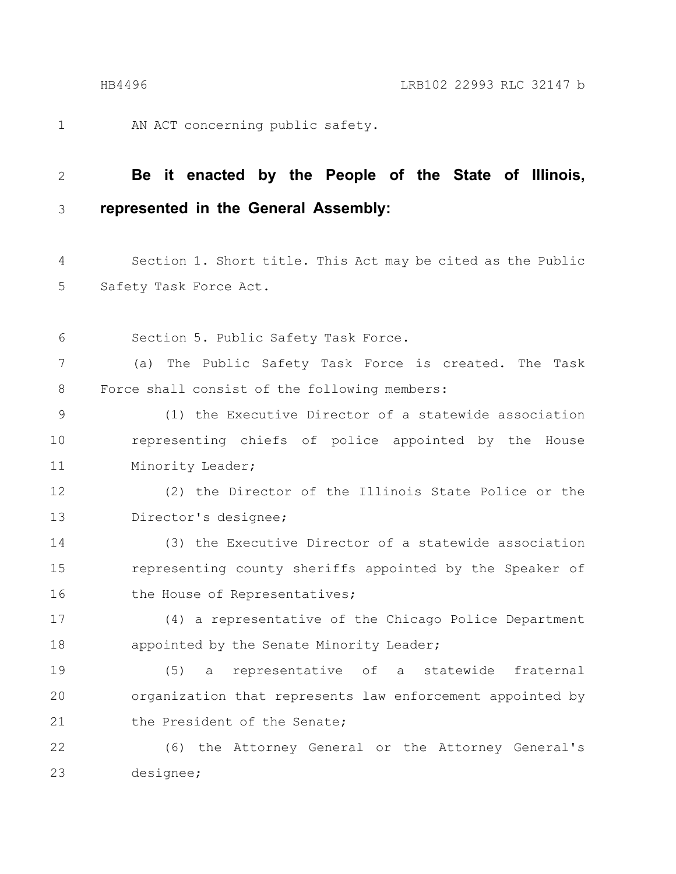1

AN ACT concerning public safety.

#### **Be it enacted by the People of the State of Illinois, represented in the General Assembly:** 2 3

Section 1. Short title. This Act may be cited as the Public Safety Task Force Act. 4 5

Section 5. Public Safety Task Force. 6

(a) The Public Safety Task Force is created. The Task Force shall consist of the following members: 7 8

(1) the Executive Director of a statewide association representing chiefs of police appointed by the House Minority Leader; 9 10 11

(2) the Director of the Illinois State Police or the Director's designee; 12 13

(3) the Executive Director of a statewide association representing county sheriffs appointed by the Speaker of the House of Representatives; 14 15 16

(4) a representative of the Chicago Police Department appointed by the Senate Minority Leader; 17 18

(5) a representative of a statewide fraternal organization that represents law enforcement appointed by the President of the Senate; 19 20 21

(6) the Attorney General or the Attorney General's designee; 22 23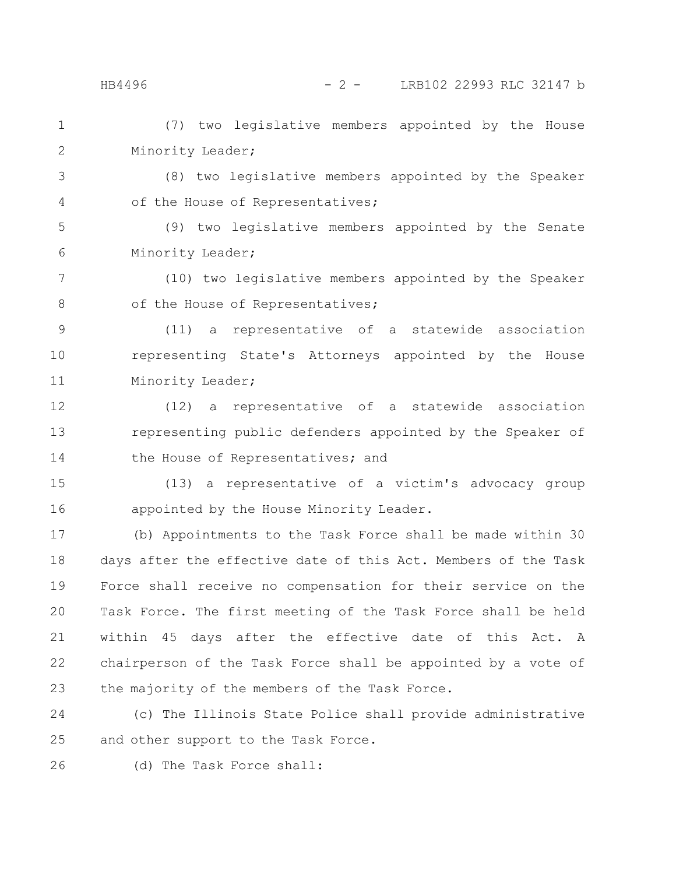HB4496 - 2 - LRB102 22993 RLC 32147 b

(7) two legislative members appointed by the House Minority Leader; 1 2

3 4

(8) two legislative members appointed by the Speaker of the House of Representatives;

(9) two legislative members appointed by the Senate Minority Leader; 5 6

(10) two legislative members appointed by the Speaker of the House of Representatives; 7 8

9

10

11

(11) a representative of a statewide association representing State's Attorneys appointed by the House Minority Leader;

(12) a representative of a statewide association representing public defenders appointed by the Speaker of the House of Representatives; and 12 13 14

(13) a representative of a victim's advocacy group appointed by the House Minority Leader. 15 16

(b) Appointments to the Task Force shall be made within 30 days after the effective date of this Act. Members of the Task Force shall receive no compensation for their service on the Task Force. The first meeting of the Task Force shall be held within 45 days after the effective date of this Act. A chairperson of the Task Force shall be appointed by a vote of the majority of the members of the Task Force. 17 18 19 20 21 22 23

(c) The Illinois State Police shall provide administrative and other support to the Task Force. 24 25

(d) The Task Force shall: 26